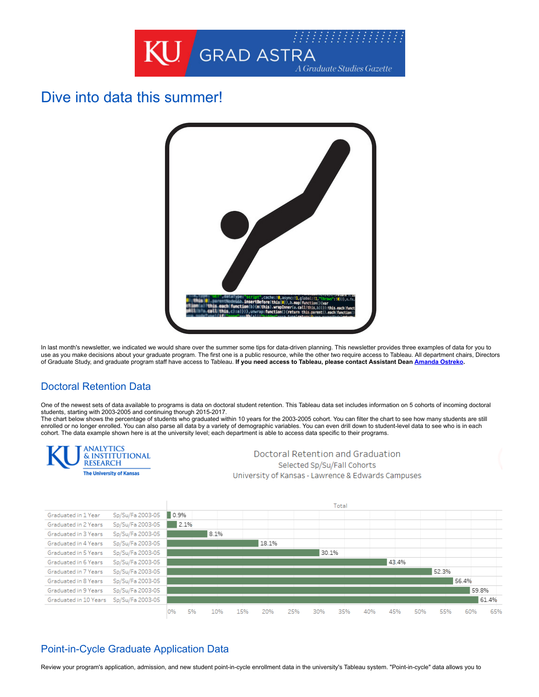

# Dive into data this summer!



In last month's newsletter, we indicated we would share over the summer some tips for data-driven planning. This newsletter provides three examples of data for you to use as you make decisions about your graduate program. The first one is a public resource, while the other two require access to Tableau. All department chairs, Directors of Graduate Study, and graduate program staff have access to Tableau. **If you need access to Tableau, please contact Assistant Dean [Amanda Ostreko](mailto:amandao@ku.edu).** 

### Doctoral Retention Data

One of the newest sets of data available to programs is data on doctoral student retention. This Tableau data set includes information on 5 cohorts of incoming doctoral students, starting with 2003-2005 and continuing thorugh 2015-2017.

The chart below shows the percentage of students who graduated within 10 years for the 2003-2005 cohort. You can filter the chart to see how many students are still enrolled or no longer enrolled. You can also parse all data by a variety of demographic variables. You can even drill down to student-level data to see who is in each cohort. The data example shown here is at the university level; each department is able to access data specific to their programs.



60%

65%

# Point-in-Cycle Graduate Application Data

0%

5%

10%

15%

Review your program's application, admission, and new student point-in-cycle enrollment data in the university's Tableau system. "Point-in-cycle" data allows you to

20%

25%

30%

35%

40%

45%

50%

55%